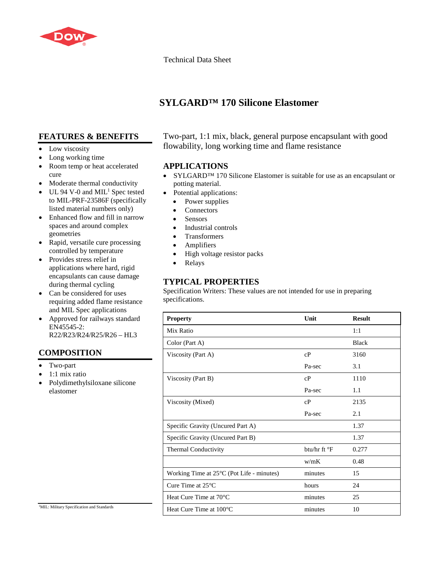

Technical Data Sheet

# **SYLGARD™ 170 Silicone Elastomer**

## **FEATURES & BENEFITS**

- Low viscosity
- Long working time
- Room temp or heat accelerated cure
- Moderate thermal conductivity
- UL 94 V-0 and  $MIL<sup>1</sup>$  Spec tested to MIL-PRF-23586F (specifically listed material numbers only)
- Enhanced flow and fill in narrow spaces and around complex geometries
- Rapid, versatile cure processing controlled by temperature
- Provides stress relief in applications where hard, rigid encapsulants can cause damage during thermal cycling
- Can be considered for uses requiring added flame resistance and MIL Spec applications
- Approved for railways standard EN45545-2: R22/R23/R24/R25/R26 – HL3

## **COMPOSITION**

- Two-part
- 1:1 mix ratio
- Polydimethylsiloxane silicone elastomer

Two-part, 1:1 mix, black, general purpose encapsulant with good flowability, long working time and flame resistance

#### **APPLICATIONS**

- SYLGARD™ 170 Silicone Elastomer is suitable for use as an encapsulant or potting material.
- Potential applications:
	- Power supplies
	- **Connectors**
	- Sensors
	- Industrial controls
	- Transformers
	- Amplifiers
	- High voltage resistor packs
	- Relays

## **TYPICAL PROPERTIES**

Specification Writers: These values are not intended for use in preparing specifications.

| <b>Property</b>                                     | Unit                    | <b>Result</b> |
|-----------------------------------------------------|-------------------------|---------------|
| Mix Ratio                                           |                         | 1:1           |
| Color (Part A)                                      |                         | <b>Black</b>  |
| Viscosity (Part A)                                  | cP                      | 3160          |
|                                                     | Pa-sec                  | 3.1           |
| Viscosity (Part B)                                  | cP                      | 1110          |
|                                                     | Pa-sec                  | 1.1           |
| Viscosity (Mixed)                                   | cP                      | 2135          |
|                                                     | Pa-sec                  | 2.1           |
| Specific Gravity (Uncured Part A)                   |                         | 1.37          |
| Specific Gravity (Uncured Part B)                   |                         | 1.37          |
| Thermal Conductivity                                | btu/hr ft $\mathrm{P}F$ | 0.277         |
|                                                     | w/mK                    | 0.48          |
| Working Time at $25^{\circ}$ C (Pot Life - minutes) | minutes                 | 15            |
| Cure Time at $25^{\circ}$ C                         | hours                   | 24            |
| Heat Cure Time at 70°C                              | minutes                 | 25            |
| Heat Cure Time at 100 °C                            | minutes                 | 10            |

<sup>1</sup>MIL: Military Specification and Standards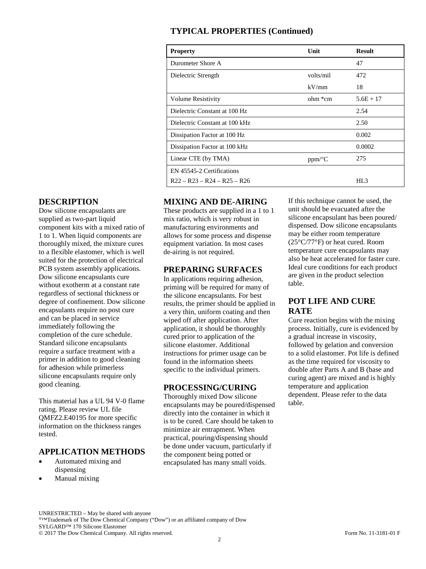### **TYPICAL PROPERTIES (Continued)**

| <b>Property</b>                | Unit                 | <b>Result</b>   |
|--------------------------------|----------------------|-----------------|
| Durometer Shore A              |                      | 47              |
| Dielectric Strength            | volts/mil            | 472             |
|                                | kV/mm                | 18              |
| <b>Volume Resistivity</b>      | ohm *cm              | $5.6E + 17$     |
| Dielectric Constant at 100 Hz  |                      | 2.54            |
| Dielectric Constant at 100 kHz |                      | 2.50            |
| Dissipation Factor at 100 Hz   |                      | 0.002           |
| Dissipation Factor at 100 kHz  |                      | 0.0002          |
| Linear CTE (by TMA)            | $ppm$ <sup>o</sup> C | 275             |
| EN 45545-2 Certifications      |                      |                 |
| $R22 - R23 - R24 - R25 - R26$  |                      | HL <sub>3</sub> |

### **DESCRIPTION**

Dow silicone encapsulants are supplied as two-part liquid component kits with a mixed ratio of 1 to 1. When liquid components are thoroughly mixed, the mixture cures to a flexible elastomer, which is well suited for the protection of electrical PCB system assembly applications. Dow silicone encapsulants cure without exotherm at a constant rate regardless of sectional thickness or degree of confinement. Dow silicone encapsulants require no post cure and can be placed in service immediately following the completion of the cure schedule. Standard silicone encapsulants require a surface treatment with a primer in addition to good cleaning for adhesion while primerless silicone encapsulants require only good cleaning.

This material has a UL 94 V-0 flame rating. Please review UL file QMFZ2.E40195 for more specific information on the thickness ranges tested.

#### **APPLICATION METHODS**

- Automated mixing and dispensing
- Manual mixing

### **MIXING AND DE-AIRING**

These products are supplied in a 1 to 1 mix ratio, which is very robust in manufacturing environments and allows for some process and dispense equipment variation. In most cases de-airing is not required.

#### **PREPARING SURFACES**

In applications requiring adhesion, priming will be required for many of the silicone encapsulants. For best results, the primer should be applied in a very thin, uniform coating and then wiped off after application. After application, it should be thoroughly cured prior to application of the silicone elastomer. Additional instructions for primer usage can be found in the information sheets specific to the individual primers.

#### **PROCESSING/CURING**

Thoroughly mixed Dow silicone encapsulants may be poured/dispensed directly into the container in which it is to be cured. Care should be taken to minimize air entrapment. When practical, pouring/dispensing should be done under vacuum, particularly if the component being potted or encapsulated has many small voids.

If this technique cannot be used, the unit should be evacuated after the silicone encapsulant has been poured/ dispensed. Dow silicone encapsulants may be either room temperature (25°C/77°F) or heat cured. Room temperature cure encapsulants may also be heat accelerated for faster cure. Ideal cure conditions for each product are given in the product selection table.

### **POT LIFE AND CURE RATE**

Cure reaction begins with the mixing process. Initially, cure is evidenced by a gradual increase in viscosity, followed by gelation and conversion to a solid elastomer. Pot life is defined as the time required for viscosity to double after Parts A and B (base and curing agent) are mixed and is highly temperature and application dependent. Please refer to the data table.

UNRESTRICTED – May be shared with anyone ®™Trademark of The Dow Chemical Company ("Dow") or an affiliated company of Dow SYLGARD™ 170 Silicone Elastomer © 2017 The Dow Chemical Company. All rights reserved. Form No. 11-3181-01 F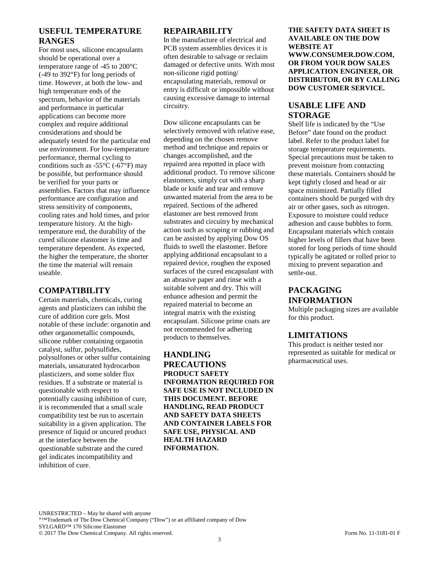#### **USEFUL TEMPERATURE RANGES**

For most uses, silicone encapsulants should be operational over a temperature range of -45 to 200°C (-49 to 392°F) for long periods of time. However, at both the low- and high temperature ends of the spectrum, behavior of the materials and performance in particular applications can become more complex and require additional considerations and should be adequately tested for the particular end use environment. For low-temperature performance, thermal cycling to conditions such as  $-55^{\circ}$ C ( $-67^{\circ}$ F) may be possible, but performance should be verified for your parts or assemblies. Factors that may influence performance are configuration and stress sensitivity of components, cooling rates and hold times, and prior temperature history. At the hightemperature end, the durability of the cured silicone elastomer is time and temperature dependent. As expected, the higher the temperature, the shorter the time the material will remain useable.

#### **COMPATIBILITY**

Certain materials, chemicals, curing agents and plasticizers can inhibit the cure of addition cure gels. Most notable of these include: organotin and other organometallic compounds, silicone rubber containing organotin catalyst, sulfur, polysulfides, polysulfones or other sulfur containing materials, unsaturated hydrocarbon plasticizers, and some solder flux residues. If a substrate or material is questionable with respect to potentially causing inhibition of cure, it is recommended that a small scale compatibility test be run to ascertain suitability in a given application. The presence of liquid or uncured product at the interface between the questionable substrate and the cured gel indicates incompatibility and inhibition of cure.

#### **REPAIRABILITY**

In the manufacture of electrical and PCB system assemblies devices it is often desirable to salvage or reclaim damaged or defective units. With most non-silicone rigid potting/ encapsulating materials, removal or entry is difficult or impossible without causing excessive damage to internal circuitry.

Dow silicone encapsulants can be selectively removed with relative ease, depending on the chosen remove method and technique and repairs or changes accomplished, and the repaired area repotted in place with additional product. To remove silicone elastomers, simply cut with a sharp blade or knife and tear and remove unwanted material from the area to be repaired. Sections of the adhered elastomer are best removed from substrates and circuitry by mechanical action such as scraping or rubbing and can be assisted by applying Dow OS fluids to swell the elastomer. Before applying additional encapsulant to a repaired device, roughen the exposed surfaces of the cured encapsulant with an abrasive paper and rinse with a suitable solvent and dry. This will enhance adhesion and permit the repaired material to become an integral matrix with the existing encapsulant. Silicone prime coats are not recommended for adhering products to themselves.

**HANDLING PRECAUTIONS PRODUCT SAFETY INFORMATION REQUIRED FOR SAFE USE IS NOT INCLUDED IN THIS DOCUMENT. BEFORE HANDLING, READ PRODUCT AND SAFETY DATA SHEETS AND CONTAINER LABELS FOR SAFE USE, PHYSICAL AND HEALTH HAZARD INFORMATION.**

**THE SAFETY DATA SHEET IS AVAILABLE ON THE DOW WEBSITE AT WWW.CONSUMER.DOW.COM, OR FROM YOUR DOW SALES APPLICATION ENGINEER, OR DISTRIBUTOR, OR BY CALLING DOW CUSTOMER SERVICE.**

### **USABLE LIFE AND STORAGE**

Shelf life is indicated by the "Use Before" date found on the product label. Refer to the product label for storage temperature requirements. Special precautions must be taken to prevent moisture from contacting these materials. Containers should be kept tightly closed and head or air space minimized. Partially filled containers should be purged with dry air or other gases, such as nitrogen. Exposure to moisture could reduce adhesion and cause bubbles to form. Encapsulant materials which contain higher levels of fillers that have been stored for long periods of time should typically be agitated or rolled prior to mixing to prevent separation and settle-out.

### **PACKAGING INFORMATION**

Multiple packaging sizes are available for this product.

#### **LIMITATIONS**

This product is neither tested nor represented as suitable for medical or pharmaceutical uses.

UNRESTRICTED – May be shared with anyone ®™Trademark of The Dow Chemical Company ("Dow") or an affiliated company of Dow SYLGARD™ 170 Silicone Elastomer © 2017 The Dow Chemical Company. All rights reserved. Form No. 11-3181-01 F